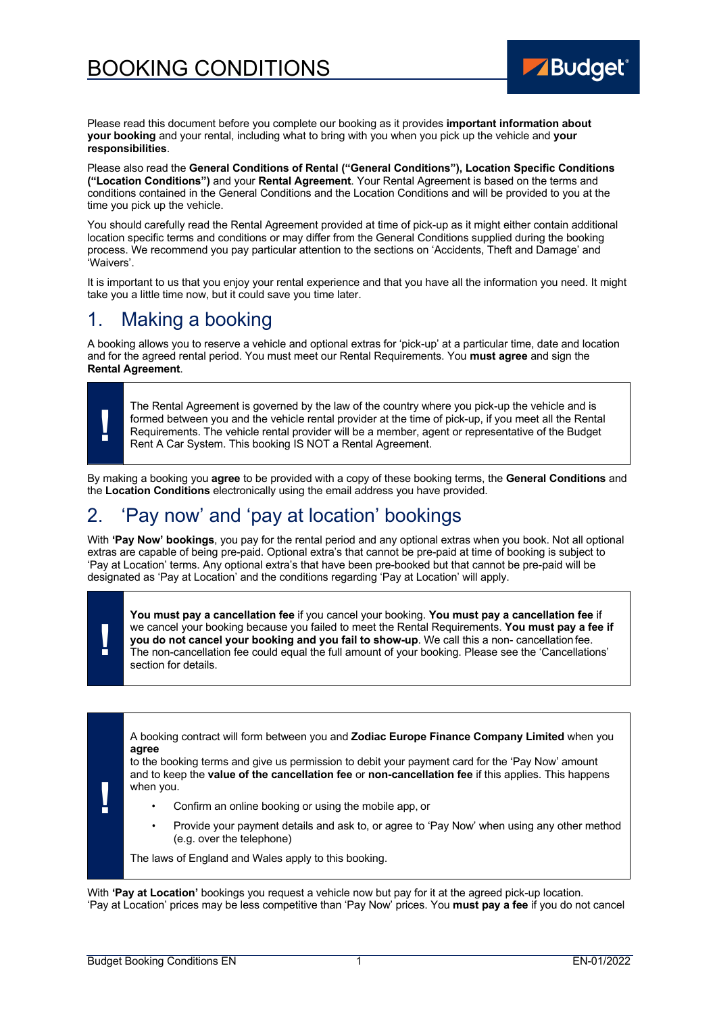# BOOKING CONDITIONS



Please read this document before you complete our booking as it provides **important information about your booking** and your rental, including what to bring with you when you pick up the vehicle and **your responsibilities**.

Please also read the **General Conditions of Rental ("General Conditions"), Location Specific Conditions ("Location Conditions")** and your **Rental Agreement**. Your Rental Agreement is based on the terms and conditions contained in the General Conditions and the Location Conditions and will be provided to you at the time you pick up the vehicle.

You should carefully read the Rental Agreement provided at time of pick-up as it might either contain additional location specific terms and conditions or may differ from the General Conditions supplied during the booking process. We recommend you pay particular attention to the sections on 'Accidents, Theft and Damage' and 'Waivers'.

It is important to us that you enjoy your rental experience and that you have all the information you need. It might take you a little time now, but it could save you time later.

## 1. Making a booking

A booking allows you to reserve a vehicle and optional extras for 'pick-up' at a particular time, date and location and for the agreed rental period. You must meet our Rental Requirements. You **must agree** and sign the **Rental Agreement**.

The Rental Agreement is governed by the law of the country where you pick-up the vehicle and is formed between you and the vehicle rental provider at the time of pick-up, if you meet all the Rental Requirements. The vehicl formed between you and the vehicle rental provider at the time of pick-up, if you meet all the Rental Requirements. The vehicle rental provider will be a member, agent or representative of the Budget Rent A Car System. This booking IS NOT a Rental Agreement.

By making a booking you **agree** to be provided with a copy of these booking terms, the **General Conditions** and the **Location Conditions** electronically using the email address you have provided.

## 2. 'Pay now' and 'pay at location' bookings

With **'Pay Now' bookings**, you pay for the rental period and any optional extras when you book. Not all optional extras are capable of being pre-paid. Optional extra's that cannot be pre-paid at time of booking is subject to 'Pay at Location' terms. Any optional extra's that have been pre-booked but that cannot be pre-paid will be designated as 'Pay at Location' and the conditions regarding 'Pay at Location' will apply.

**!**

**You must pay a cancellation fee** if you cancel your booking. **You must pay a cancellation fee** if we cancel your booking because you failed to meet the Rental Requirements. **You must pay a fee if you do not cancel your booking and you fail to show-up**. We call this a non- cancellationfee. The non-cancellation fee could equal the full amount of your booking. Please see the 'Cancellations' section for details.

**!** A booking contract will form between you and **Zodiac Europe Finance Company Limited** when you **agree** to the booking terms and give us permission to debit your payment card for the 'Pay Now' amount and to keep the **value of the cancellation fee** or **non-cancellation fee** if this applies. This happens when you. • Confirm an online booking or using the mobile app, or • Provide your payment details and ask to, or agree to 'Pay Now' when using any other method (e.g. over the telephone) The laws of England and Wales apply to this booking.

With **'Pay at Location'** bookings you request a vehicle now but pay for it at the agreed pick-up location. 'Pay at Location' prices may be less competitive than 'Pay Now' prices. You **must pay a fee** if you do not cancel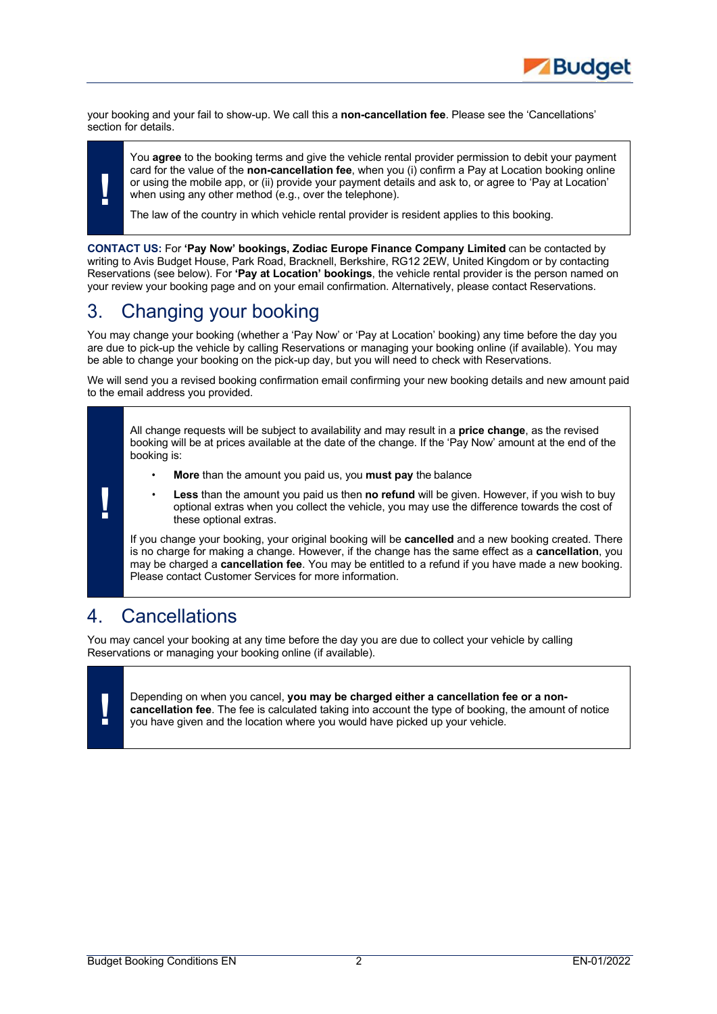

your booking and your fail to show-up. We call this a **non-cancellation fee**. Please see the 'Cancellations' section for details.

You **agree** to the booking terms and give the vehicle rental provider permission to debit your payment card for the value of the **non-cancellation fee**, when you (i) confirm a Pay at Location booking online or using the mobile app, or (ii) provide your payment details and ask to, or agree to 'Pay at Location' when using any other method (e.g., over the telephone).

The law of the country in which vehicle rental provider is resident applies to this booking.

**CONTACT US:** For **'Pay Now' bookings, Zodiac Europe Finance Company Limited** can be contacted by writing to Avis Budget House, Park Road, Bracknell, Berkshire, RG12 2EW, United Kingdom or by contacting Reservations (see below). For **'Pay at Location' bookings**, the vehicle rental provider is the person named on your review your booking page and on your email confirmation. Alternatively, please contact Reservations.

# 3. Changing your booking

You may change your booking (whether a 'Pay Now' or 'Pay at Location' booking) any time before the day you are due to pick-up the vehicle by calling Reservations or managing your booking online (if available). You may be able to change your booking on the pick-up day, but you will need to check with Reservations.

We will send you a revised booking confirmation email confirming your new booking details and new amount paid to the email address you provided.

All change requests will be subject to availability and may result in a **price change**, as the revised booking will be at prices available at the date of the change. If the 'Pay Now' amount at the end of the booking is:

- **More** than the amount you paid us, you **must pay** the balance
- **Less** than the amount you paid us then **no refund** will be given. However, if you wish to buy optional extras when you collect the vehicle, you may use the difference towards the cost of these optional extras.

If you change your booking, your original booking will be **cancelled** and a new booking created. There is no charge for making a change. However, if the change has the same effect as a **cancellation**, you may be charged a **cancellation fee**. You may be entitled to a refund if you have made a new booking. Please contact Customer Services for more information.

## 4. Cancellations

You may cancel your booking at any time before the day you are due to collect your vehicle by calling Reservations or managing your booking online (if available).

**!**

**!** Depending on when you cancel, **you may be charged either a cancellation fee or a noncancellation fee**. The fee is calculated taking into account the type of booking, the amount of notice you have given and the location where you would have picked up your vehicle.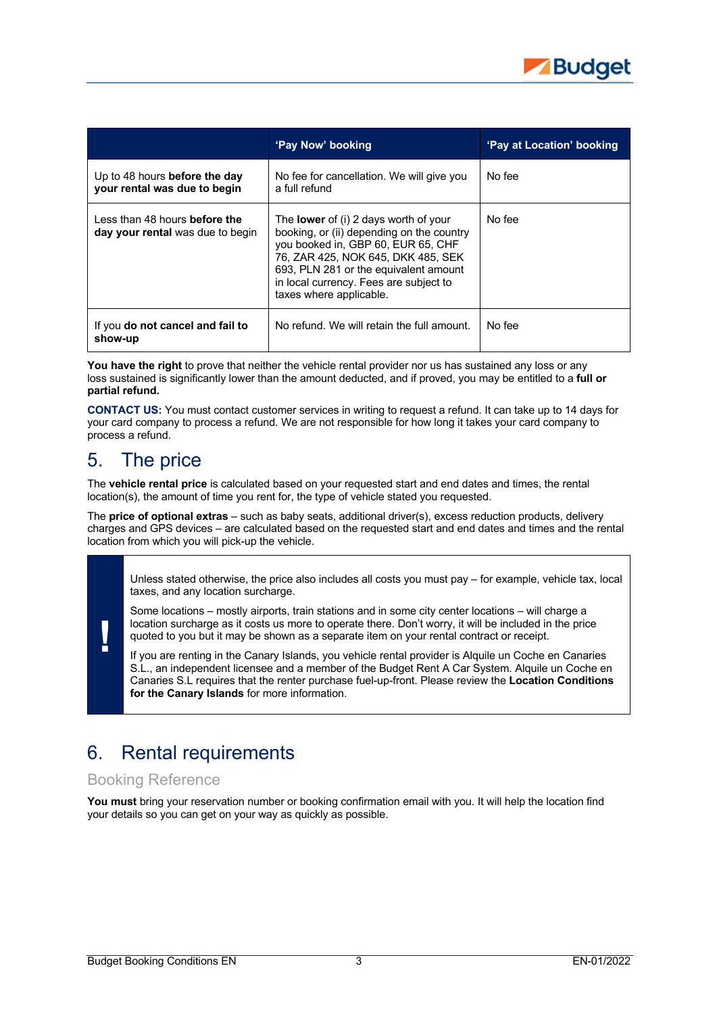

|                                                                          | 'Pay Now' booking                                                                                                                                                                                                                                                                   | 'Pay at Location' booking |
|--------------------------------------------------------------------------|-------------------------------------------------------------------------------------------------------------------------------------------------------------------------------------------------------------------------------------------------------------------------------------|---------------------------|
| Up to 48 hours before the day<br>your rental was due to begin            | No fee for cancellation. We will give you<br>a full refund                                                                                                                                                                                                                          | No fee                    |
| Less than 48 hours <b>before the</b><br>day your rental was due to begin | The <b>lower</b> of (i) 2 days worth of your<br>booking, or (ii) depending on the country<br>you booked in, GBP 60, EUR 65, CHF<br>76. ZAR 425. NOK 645. DKK 485. SEK<br>693, PLN 281 or the equivalent amount<br>in local currency. Fees are subject to<br>taxes where applicable. | No fee                    |
| If you do not cancel and fail to<br>show-up                              | No refund. We will retain the full amount.                                                                                                                                                                                                                                          | No fee                    |

You have the right to prove that neither the vehicle rental provider nor us has sustained any loss or any loss sustained is significantly lower than the amount deducted, and if proved, you may be entitled to a **full or partial refund.**

**CONTACT US:** You must contact customer services in writing to request a refund. It can take up to 14 days for your card company to process a refund. We are not responsible for how long it takes your card company to process a refund.

## 5. The price

**!**

The **vehicle rental price** is calculated based on your requested start and end dates and times, the rental location(s), the amount of time you rent for, the type of vehicle stated you requested.

The **price of optional extras** – such as baby seats, additional driver(s), excess reduction products, delivery charges and GPS devices – are calculated based on the requested start and end dates and times and the rental location from which you will pick-up the vehicle.

Unless stated otherwise, the price also includes all costs you must pay – for example, vehicle tax, local taxes, and any location surcharge.

Some locations – mostly airports, train stations and in some city center locations – will charge a location surcharge as it costs us more to operate there. Don't worry, it will be included in the price quoted to you but it may be shown as a separate item on your rental contract or receipt.

If you are renting in the Canary Islands, you vehicle rental provider is Alquile un Coche en Canaries S.L., an independent licensee and a member of the Budget Rent A Car System. Alquile un Coche en Canaries S.L requires that the renter purchase fuel-up-front. Please review the **Location Conditions for the Canary Islands** for more information.

# 6. Rental requirements

### Booking Reference

**You must** bring your reservation number or booking confirmation email with you. It will help the location find your details so you can get on your way as quickly as possible.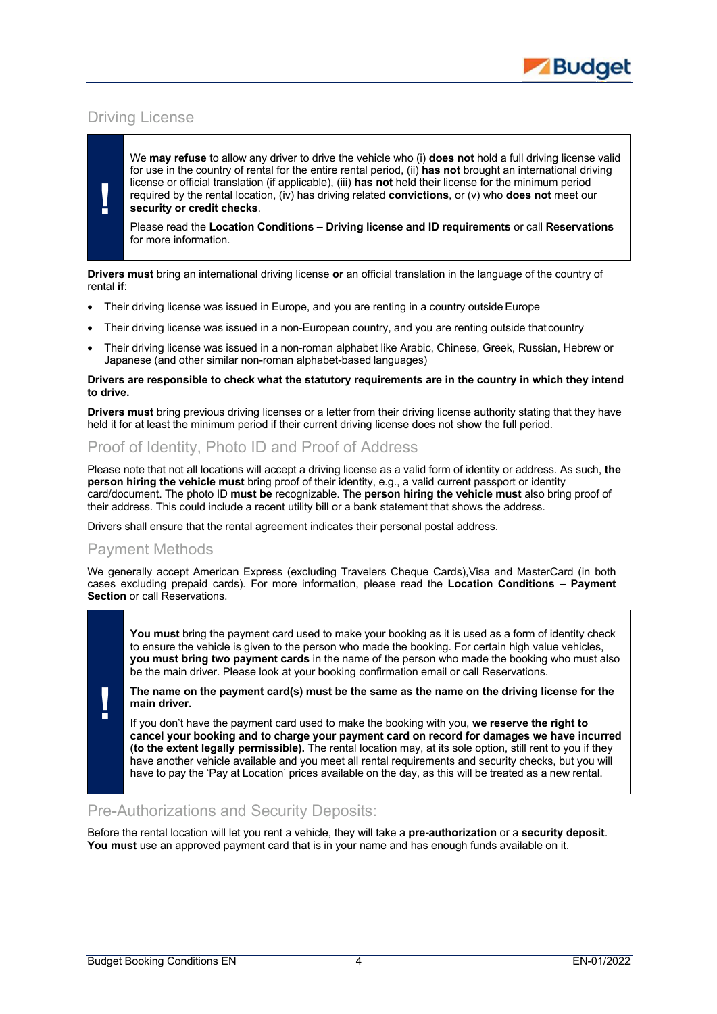

## Driving License

**!**

We **may refuse** to allow any driver to drive the vehicle who (i) **does not** hold a full driving license valid for use in the country of rental for the entire rental period, (ii) **has not** brought an international driving license or official translation (if applicable), (iii) **has not** held their license for the minimum period required by the rental location, (iv) has driving related **convictions**, or (v) who **does not** meet our **security or credit checks**.

Please read the **Location Conditions – Driving license and ID requirements** or call **Reservations** for more information.

**Drivers must** bring an international driving license **or** an official translation in the language of the country of rental **if**:

- Their driving license was issued in Europe, and you are renting in a country outside Europe
- Their driving license was issued in a non-European country, and you are renting outside that country
- Their driving license was issued in a non-roman alphabet like Arabic, Chinese, Greek, Russian, Hebrew or Japanese (and other similar non-roman alphabet-based languages)

#### **Drivers are responsible to check what the statutory requirements are in the country in which they intend to drive.**

**Drivers must** bring previous driving licenses or a letter from their driving license authority stating that they have held it for at least the minimum period if their current driving license does not show the full period.

## Proof of Identity, Photo ID and Proof of Address

Please note that not all locations will accept a driving license as a valid form of identity or address. As such, **the person hiring the vehicle must** bring proof of their identity, e.g., a valid current passport or identity card/document. The photo ID **must be** recognizable. The **person hiring the vehicle must** also bring proof of their address. This could include a recent utility bill or a bank statement that shows the address.

Drivers shall ensure that the rental agreement indicates their personal postal address.

### Payment Methods

**!**

We generally accept American Express (excluding Travelers Cheque Cards),Visa and MasterCard (in both cases excluding prepaid cards). For more information, please read the **Location Conditions – Payment Section** or call Reservations.

You must bring the payment card used to make your booking as it is used as a form of identity check to ensure the vehicle is given to the person who made the booking. For certain high value vehicles, **you must bring two payment cards** in the name of the person who made the booking who must also be the main driver. Please look at your booking confirmation email or call Reservations.

**The name on the payment card(s) must be the same as the name on the driving license for the main driver.**

If you don't have the payment card used to make the booking with you, **we reserve the right to cancel your booking and to charge your payment card on record for damages we have incurred (to the extent legally permissible).** The rental location may, at its sole option, still rent to you if they have another vehicle available and you meet all rental requirements and security checks, but you will have to pay the 'Pay at Location' prices available on the day, as this will be treated as a new rental.

#### Pre-Authorizations and Security Deposits:

Before the rental location will let you rent a vehicle, they will take a **pre-authorization** or a **security deposit**. **You must** use an approved payment card that is in your name and has enough funds available on it.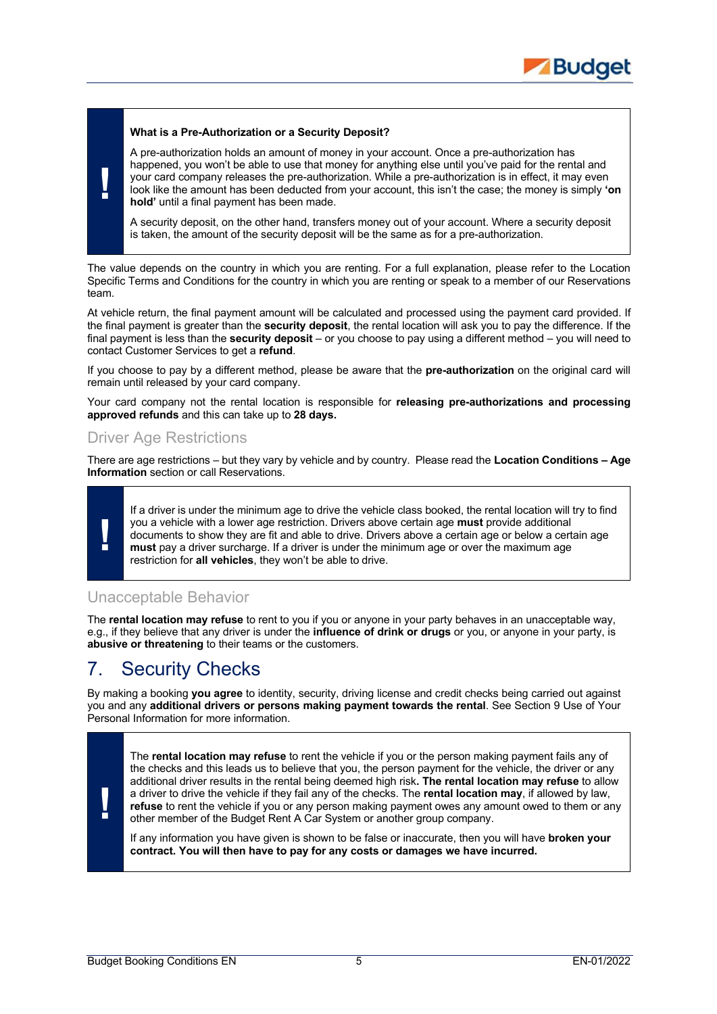

#### **What is a Pre-Authorization or a Security Deposit?**

A pre-authorization holds an amount of money in your account. Once a pre-authorization has happened, you won't be able to use that money for anything else until you've paid for the rental and your card company releases the pre-authorization. While a pre-authorization is in effect, it may even look like the amount has been deducted from your account, this isn't the case; the money is simply **'on hold'** until a final payment has been made.

A security deposit, on the other hand, transfers money out of your account. Where a security deposit is taken, the amount of the security deposit will be the same as for a pre-authorization.

The value depends on the country in which you are renting. For a full explanation, please refer to the Location Specific Terms and Conditions for the country in which you are renting or speak to a member of our Reservations team.

At vehicle return, the final payment amount will be calculated and processed using the payment card provided. If the final payment is greater than the **security deposit**, the rental location will ask you to pay the difference. If the final payment is less than the **security deposit** – or you choose to pay using a different method – you will need to contact Customer Services to get a **refund**.

If you choose to pay by a different method, please be aware that the **pre-authorization** on the original card will remain until released by your card company.

Your card company not the rental location is responsible for **releasing pre-authorizations and processing approved refunds** and this can take up to **28 days.**

### Driver Age Restrictions

There are age restrictions – but they vary by vehicle and by country. Please read the **Location Conditions – Age Information** section or call Reservations.



**!**

If a driver is under the minimum age to drive the vehicle class booked, the rental location will try to find you a vehicle with a lower age restriction. Drivers above certain age **must** provide additional documents to show they are fit and able to drive. Drivers above a certain age or below a certain age **must** pay a driver surcharge. If a driver is under the minimum age or over the maximum age restriction for **all vehicles**, they won't be able to drive.

### Unacceptable Behavior

The **rental location may refuse** to rent to you if you or anyone in your party behaves in an unacceptable way, e.g., if they believe that any driver is under the **influence of drink or drugs** or you, or anyone in your party, is **abusive or threatening** to their teams or the customers.

## 7. Security Checks

By making a booking **you agree** to identity, security, driving license and credit checks being carried out against you and any **additional drivers or persons making payment towards the rental**. See Section 9 Use of Your Personal Information for more information.



The **rental location may refuse** to rent the vehicle if you or the person making payment fails any of the checks and this leads us to believe that you, the person payment for the vehicle, the driver or any additional driver results in the rental being deemed high risk**. The rental location may refuse** to allow a driver to drive the vehicle if they fail any of the checks. The **rental location may**, if allowed by law, **refuse** to rent the vehicle if you or any person making payment owes any amount owed to them or any other member of the Budget Rent A Car System or another group company.

If any information you have given is shown to be false or inaccurate, then you will have **broken your contract. You will then have to pay for any costs or damages we have incurred.**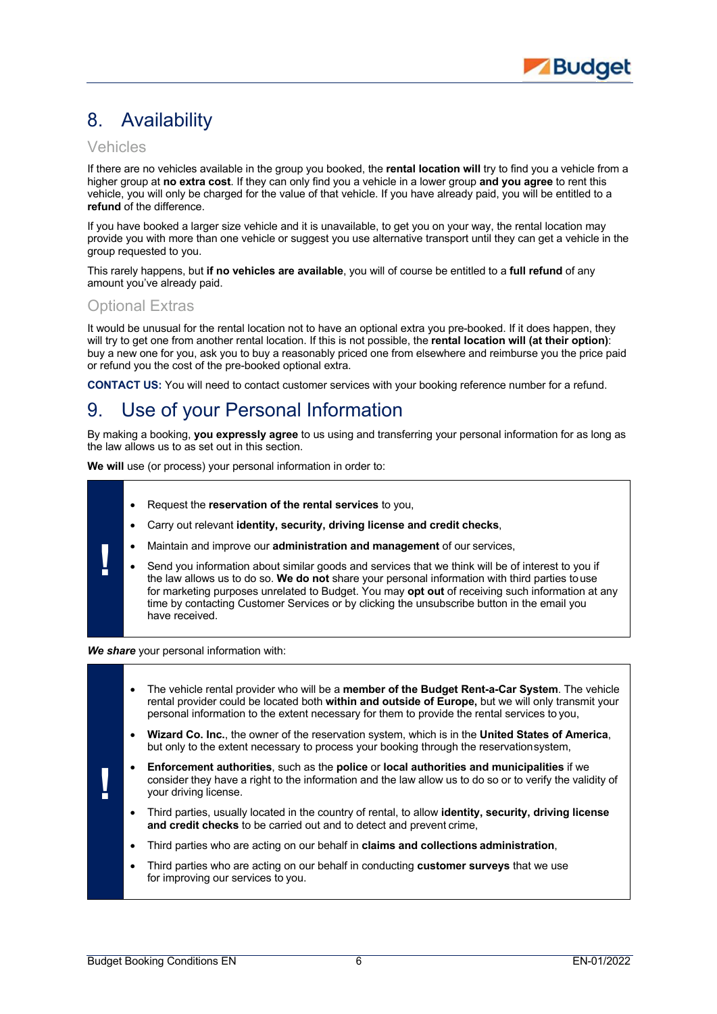# 8. Availability

### Vehicles

If there are no vehicles available in the group you booked, the **rental location will** try to find you a vehicle from a higher group at **no extra cost**. If they can only find you a vehicle in a lower group **and you agree** to rent this vehicle, you will only be charged for the value of that vehicle. If you have already paid, you will be entitled to a **refund** of the difference.

If you have booked a larger size vehicle and it is unavailable, to get you on your way, the rental location may provide you with more than one vehicle or suggest you use alternative transport until they can get a vehicle in the group requested to you.

This rarely happens, but **if no vehicles are available**, you will of course be entitled to a **full refund** of any amount you've already paid.

### Optional Extras

**!**

It would be unusual for the rental location not to have an optional extra you pre-booked. If it does happen, they will try to get one from another rental location. If this is not possible, the **rental location will (at their option)**: buy a new one for you, ask you to buy a reasonably priced one from elsewhere and reimburse you the price paid or refund you the cost of the pre-booked optional extra.

**CONTACT US:** You will need to contact customer services with your booking reference number for a refund.

# 9. Use of your Personal Information

By making a booking, **you expressly agree** to us using and transferring your personal information for as long as the law allows us to as set out in this section.

**We will** use (or process) your personal information in order to:

- Request the **reservation of the rental services** to you,
- Carry out relevant **identity, security, driving license and credit checks**,
- Maintain and improve our **administration and management** of our services,
- Send you information about similar goods and services that we think will be of interest to you if the law allows us to do so. **We do not** share your personal information with third parties touse for marketing purposes unrelated to Budget. You may **opt out** of receiving such information at any time by contacting Customer Services or by clicking the unsubscribe button in the email you have received.

*We share* your personal information with:

|   | $\bullet$ | The vehicle rental provider who will be a <b>member of the Budget Rent-a-Car System</b> . The vehicle<br>rental provider could be located both within and outside of Europe, but we will only transmit your<br>personal information to the extent necessary for them to provide the rental services to you, |  |
|---|-----------|-------------------------------------------------------------------------------------------------------------------------------------------------------------------------------------------------------------------------------------------------------------------------------------------------------------|--|
|   | $\bullet$ | Wizard Co. Inc., the owner of the reservation system, which is in the United States of America,<br>but only to the extent necessary to process your booking through the reservationsystem,                                                                                                                  |  |
| ٠ |           | <b>Enforcement authorities, such as the police or local authorities and municipalities if we</b><br>consider they have a right to the information and the law allow us to do so or to verify the validity of<br>your driving license.                                                                       |  |
|   | $\bullet$ | Third parties, usually located in the country of rental, to allow <b>identity, security, driving license</b><br>and credit checks to be carried out and to detect and prevent crime.                                                                                                                        |  |
|   | ٠         | Third parties who are acting on our behalf in claims and collections administration,                                                                                                                                                                                                                        |  |
|   | ٠         | Third parties who are acting on our behalf in conducting <b>customer surveys</b> that we use<br>for improving our services to you.                                                                                                                                                                          |  |